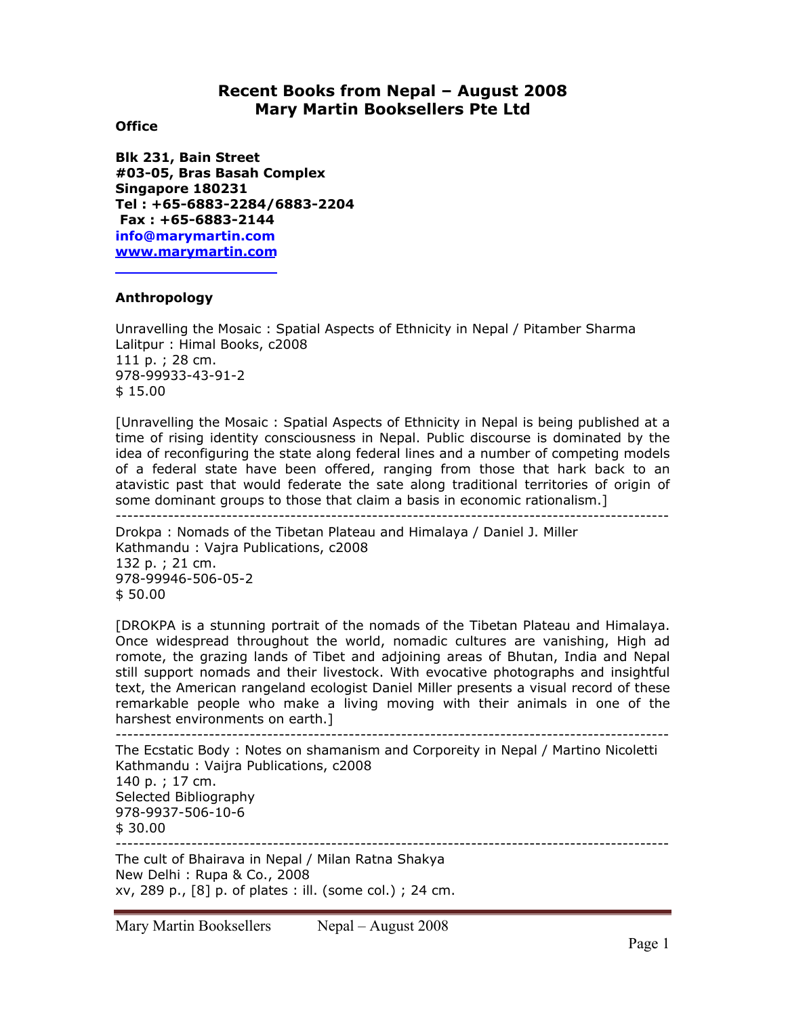# **Recent Books from Nepal – August 2008 Mary Martin Booksellers Pte Ltd**

#### **Office**

**Blk 231, Bain Street #03-05, Bras Basah Complex Singapore 180231 Tel : +65-6883-2284/6883-2204 Fax : +65-6883-2144 info@marymartin.com www.marymartin.com**

### **Anthropology**

Unravelling the Mosaic : Spatial Aspects of Ethnicity in Nepal / Pitamber Sharma Lalitpur : Himal Books, c2008 111 p. ; 28 cm. 978-99933-43-91-2 \$ 15.00

[Unravelling the Mosaic : Spatial Aspects of Ethnicity in Nepal is being published at a time of rising identity consciousness in Nepal. Public discourse is dominated by the idea of reconfiguring the state along federal lines and a number of competing models of a federal state have been offered, ranging from those that hark back to an atavistic past that would federate the sate along traditional territories of origin of some dominant groups to those that claim a basis in economic rationalism.]

-----------------------------------------------------------------------------------------------

Drokpa : Nomads of the Tibetan Plateau and Himalaya / Daniel J. Miller Kathmandu : Vajra Publications, c2008 132 p. ; 21 cm. 978-99946-506-05-2 \$ 50.00

[DROKPA is a stunning portrait of the nomads of the Tibetan Plateau and Himalaya. Once widespread throughout the world, nomadic cultures are vanishing, High ad romote, the grazing lands of Tibet and adjoining areas of Bhutan, India and Nepal still support nomads and their livestock. With evocative photographs and insightful text, the American rangeland ecologist Daniel Miller presents a visual record of these remarkable people who make a living moving with their animals in one of the harshest environments on earth.]

-----------------------------------------------------------------------------------------------

The Ecstatic Body : Notes on shamanism and Corporeity in Nepal / Martino Nicoletti Kathmandu : Vaijra Publications, c2008 140 p. ; 17 cm. Selected Bibliography 978-9937-506-10-6 \$ 30.00 -----------------------------------------------------------------------------------------------

The cult of Bhairava in Nepal / Milan Ratna Shakya New Delhi : Rupa & Co., 2008 xv, 289 p., [8] p. of plates : ill. (some col.) ; 24 cm.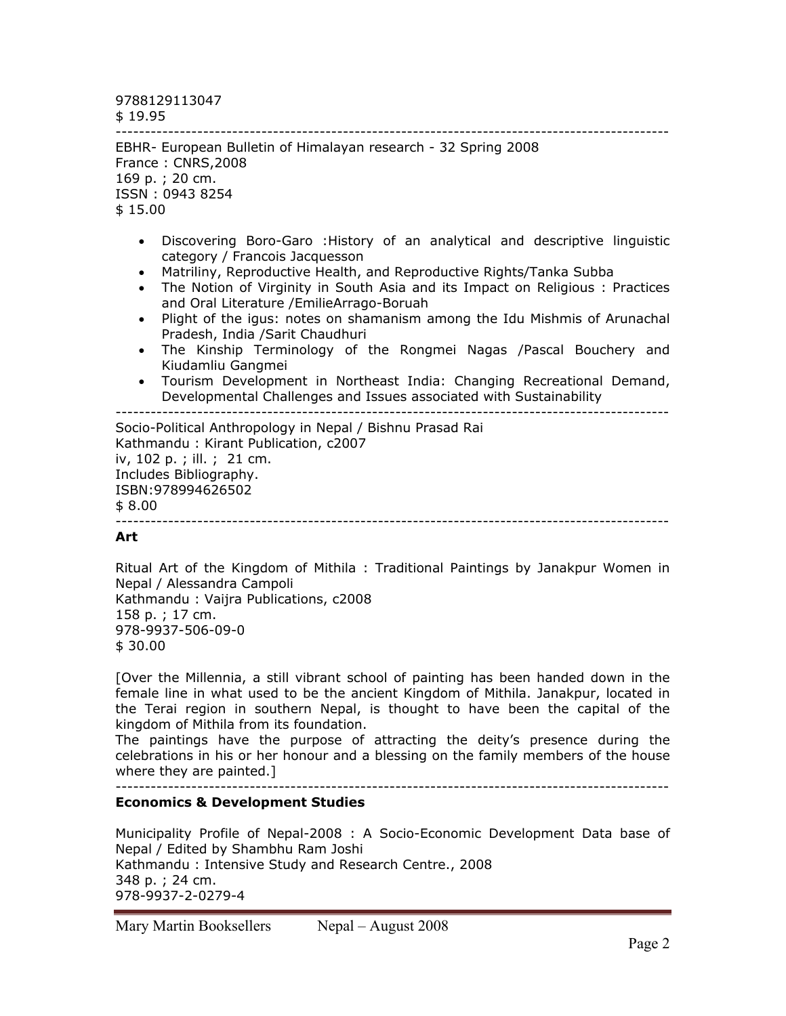9788129113047

\$ 19.95

----------------------------------------------------------------------------------------------- EBHR- European Bulletin of Himalayan research - 32 Spring 2008 France : CNRS,2008 169 p. ; 20 cm. ISSN : 0943 8254 \$ 15.00

- Discovering Boro-Garo :History of an analytical and descriptive linguistic category / Francois Jacquesson
- Matriliny, Reproductive Health, and Reproductive Rights/Tanka Subba
- The Notion of Virginity in South Asia and its Impact on Religious : Practices and Oral Literature /EmilieArrago-Boruah
- Plight of the igus: notes on shamanism among the Idu Mishmis of Arunachal Pradesh, India /Sarit Chaudhuri
- The Kinship Terminology of the Rongmei Nagas /Pascal Bouchery and Kiudamliu Gangmei
- Tourism Development in Northeast India: Changing Recreational Demand, Developmental Challenges and Issues associated with Sustainability

-----------------------------------------------------------------------------------------------

Socio-Political Anthropology in Nepal / Bishnu Prasad Rai Kathmandu : Kirant Publication, c2007 iv, 102 p. ; ill. ; 21 cm. Includes Bibliography. ISBN:978994626502 \$ 8.00 -----------------------------------------------------------------------------------------------

## **Art**

Ritual Art of the Kingdom of Mithila : Traditional Paintings by Janakpur Women in Nepal / Alessandra Campoli Kathmandu : Vaijra Publications, c2008 158 p. ; 17 cm. 978-9937-506-09-0 \$ 30.00

[Over the Millennia, a still vibrant school of painting has been handed down in the female line in what used to be the ancient Kingdom of Mithila. Janakpur, located in the Terai region in southern Nepal, is thought to have been the capital of the kingdom of Mithila from its foundation.

The paintings have the purpose of attracting the deity's presence during the celebrations in his or her honour and a blessing on the family members of the house where they are painted.]

-----------------------------------------------------------------------------------------------

## **Economics & Development Studies**

Municipality Profile of Nepal-2008 : A Socio-Economic Development Data base of Nepal / Edited by Shambhu Ram Joshi Kathmandu : Intensive Study and Research Centre., 2008 348 p. ; 24 cm. 978-9937-2-0279-4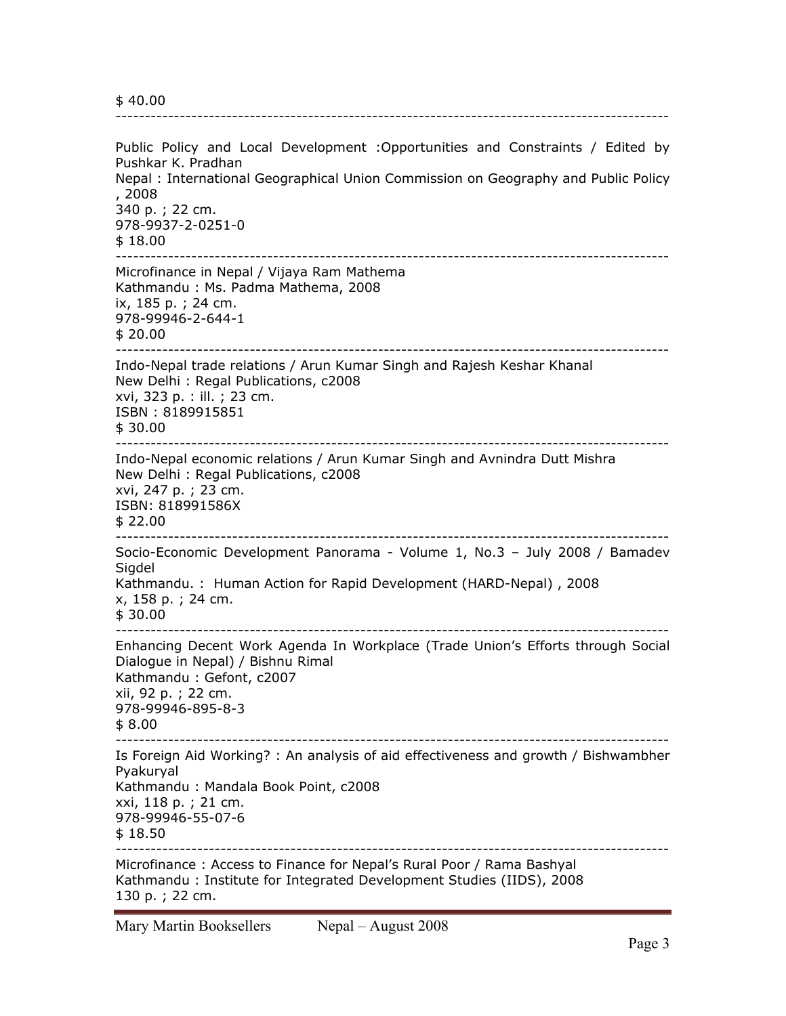\$ 40.00

Public Policy and Local Development :Opportunities and Constraints / Edited by Pushkar K. Pradhan Nepal : International Geographical Union Commission on Geography and Public Policy , 2008 340 p. ; 22 cm. 978-9937-2-0251-0 \$ 18.00 ----------------------------------------------------------------------------------------------- Microfinance in Nepal / Vijaya Ram Mathema Kathmandu : Ms. Padma Mathema, 2008 ix, 185 p. ; 24 cm. 978-99946-2-644-1  $$20.00$ ----------------------------------------------------------------------------------------------- Indo-Nepal trade relations / Arun Kumar Singh and Rajesh Keshar Khanal New Delhi : Regal Publications, c2008 xvi, 323 p. : ill. ; 23 cm. ISBN : 8189915851 \$ 30.00 ----------------------------------------------------------------------------------------------- Indo-Nepal economic relations / Arun Kumar Singh and Avnindra Dutt Mishra New Delhi : Regal Publications, c2008 xvi, 247 p. ; 23 cm. ISBN: 818991586X \$ 22.00 ----------------------------------------------------------------------------------------------- Socio-Economic Development Panorama - Volume 1, No.3 – July 2008 / Bamadev Sigdel Kathmandu. : Human Action for Rapid Development (HARD-Nepal) , 2008 x, 158 p. ; 24 cm. \$ 30.00 ----------------------------------------------------------------------------------------------- Enhancing Decent Work Agenda In Workplace (Trade Union's Efforts through Social Dialogue in Nepal) / Bishnu Rimal Kathmandu : Gefont, c2007 xii, 92 p. ; 22 cm. 978-99946-895-8-3 \$ 8.00 ----------------------------------------------------------------------------------------------- Is Foreign Aid Working? : An analysis of aid effectiveness and growth / Bishwambher Pyakuryal Kathmandu : Mandala Book Point, c2008 xxi, 118 p. ; 21 cm. 978-99946-55-07-6 \$ 18.50 ----------------------------------------------------------------------------------------------- Microfinance : Access to Finance for Nepal's Rural Poor / Rama Bashyal Kathmandu : Institute for Integrated Development Studies (IIDS), 2008 130 p. ; 22 cm.

-----------------------------------------------------------------------------------------------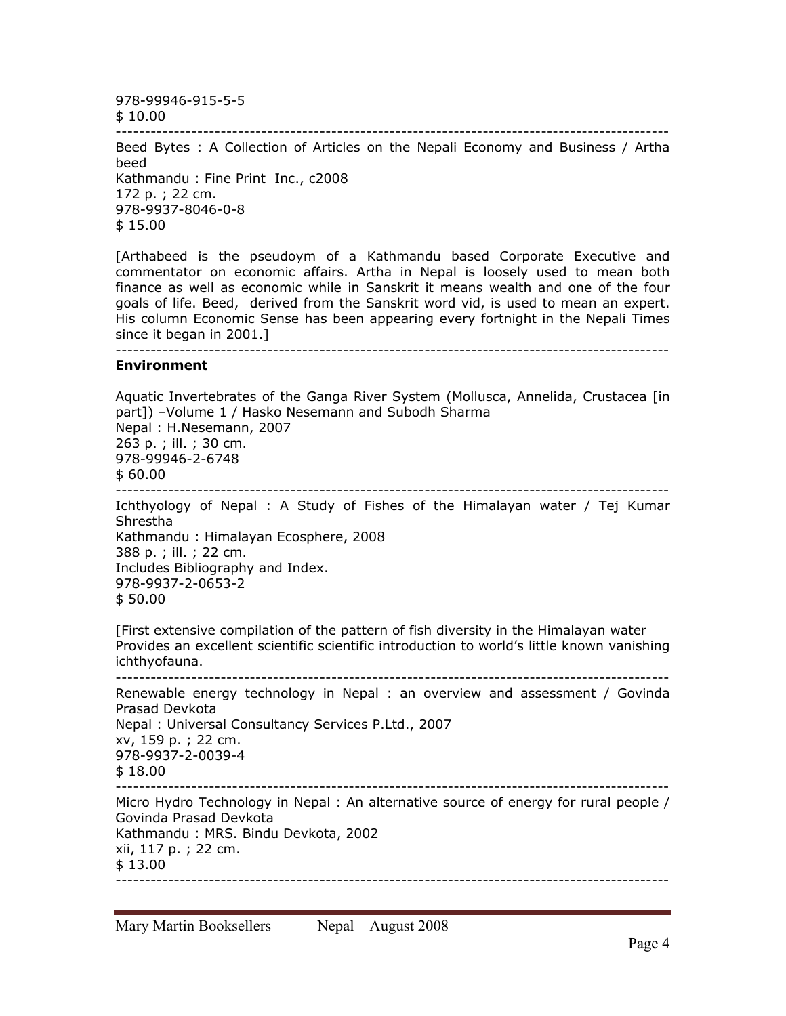978-99946-915-5-5

\$ 10.00 -----------------------------------------------------------------------------------------------

Beed Bytes : A Collection of Articles on the Nepali Economy and Business / Artha beed Kathmandu : Fine Print Inc., c2008 172 p. ; 22 cm. 978-9937-8046-0-8 \$ 15.00

[Arthabeed is the pseudoym of a Kathmandu based Corporate Executive and commentator on economic affairs. Artha in Nepal is loosely used to mean both finance as well as economic while in Sanskrit it means wealth and one of the four goals of life. Beed, derived from the Sanskrit word vid, is used to mean an expert. His column Economic Sense has been appearing every fortnight in the Nepali Times since it began in 2001.]

#### -----------------------------------------------------------------------------------------------

#### **Environment**

Aquatic Invertebrates of the Ganga River System (Mollusca, Annelida, Crustacea [in part]) –Volume 1 / Hasko Nesemann and Subodh Sharma Nepal : H.Nesemann, 2007 263 p. ; ill. ; 30 cm. 978-99946-2-6748 \$ 60.00 ----------------------------------------------------------------------------------------------- Ichthyology of Nepal : A Study of Fishes of the Himalayan water / Tej Kumar Shrestha Kathmandu : Himalayan Ecosphere, 2008 388 p. ; ill. ; 22 cm. Includes Bibliography and Index. 978-9937-2-0653-2 \$ 50.00 [First extensive compilation of the pattern of fish diversity in the Himalayan water Provides an excellent scientific scientific introduction to world's little known vanishing ichthyofauna. -----------------------------------------------------------------------------------------------

Renewable energy technology in Nepal : an overview and assessment / Govinda Prasad Devkota Nepal : Universal Consultancy Services P.Ltd., 2007 xv, 159 p. ; 22 cm. 978-9937-2-0039-4 \$ 18.00 ----------------------------------------------------------------------------------------------- Micro Hydro Technology in Nepal : An alternative source of energy for rural people / Govinda Prasad Devkota Kathmandu : MRS. Bindu Devkota, 2002 xii, 117 p. ; 22 cm. \$ 13.00 -----------------------------------------------------------------------------------------------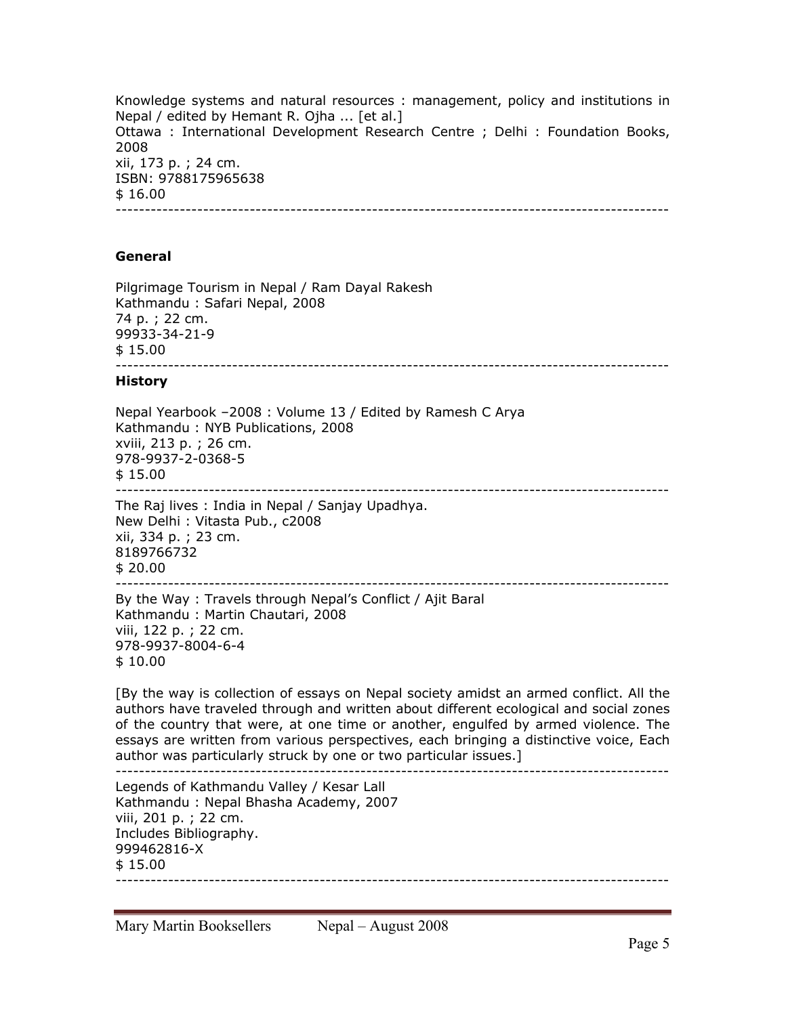Knowledge systems and natural resources : management, policy and institutions in Nepal / edited by Hemant R. Ojha ... [et al.] Ottawa : International Development Research Centre ; Delhi : Foundation Books, 2008 xii, 173 p. ; 24 cm. ISBN: 9788175965638 \$ 16.00 -----------------------------------------------------------------------------------------------

### **General**

Pilgrimage Tourism in Nepal / Ram Dayal Rakesh Kathmandu : Safari Nepal, 2008 74 p. ; 22 cm. 99933-34-21-9 \$ 15.00 -----------------------------------------------------------------------------------------------

#### **History**

Nepal Yearbook –2008 : Volume 13 / Edited by Ramesh C Arya Kathmandu : NYB Publications, 2008 xviii, 213 p. ; 26 cm. 978-9937-2-0368-5 \$ 15.00 ----------------------------------------------------------------------------------------------- The Raj lives : India in Nepal / Sanjay Upadhya. New Delhi : Vitasta Pub., c2008 xii, 334 p. ; 23 cm. 8189766732 \$ 20.00 ----------------------------------------------------------------------------------------------- By the Way : Travels through Nepal's Conflict / Ajit Baral

Kathmandu : Martin Chautari, 2008 viii, 122 p. ; 22 cm. 978-9937-8004-6-4 \$ 10.00

[By the way is collection of essays on Nepal society amidst an armed conflict. All the authors have traveled through and written about different ecological and social zones of the country that were, at one time or another, engulfed by armed violence. The essays are written from various perspectives, each bringing a distinctive voice, Each author was particularly struck by one or two particular issues.] -----------------------------------------------------------------------------------------------

Legends of Kathmandu Valley / Kesar Lall Kathmandu : Nepal Bhasha Academy, 2007 viii, 201 p. ; 22 cm. Includes Bibliography. 999462816-X \$ 15.00 -----------------------------------------------------------------------------------------------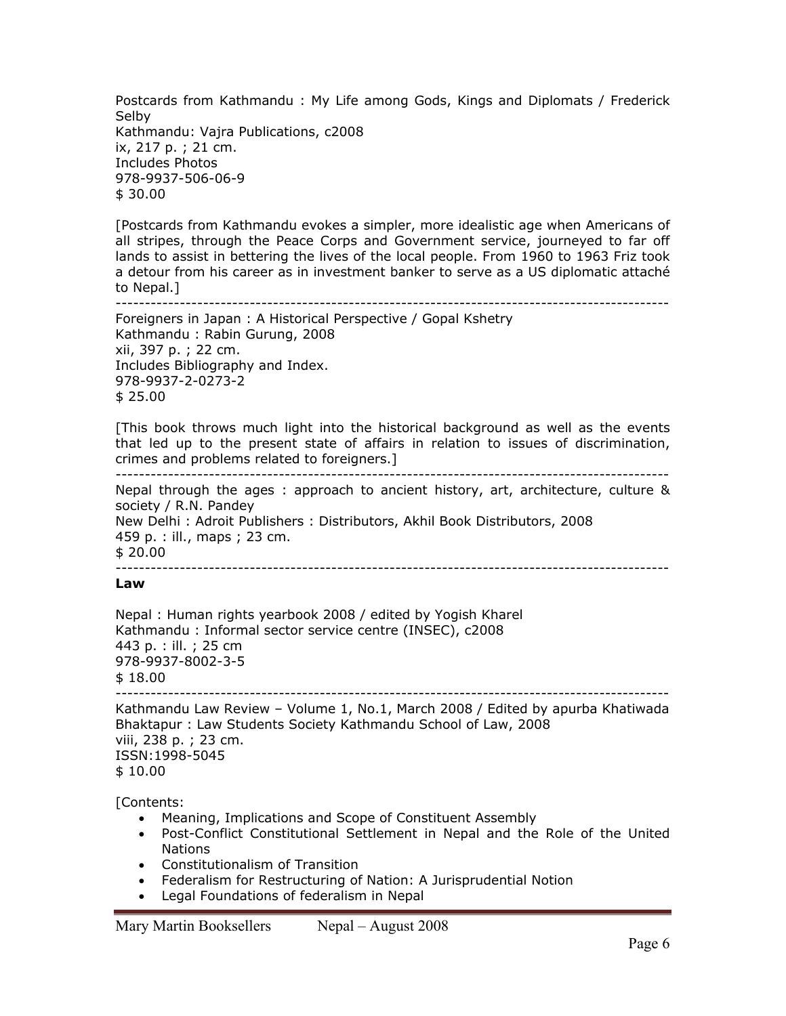Postcards from Kathmandu : My Life among Gods, Kings and Diplomats / Frederick Selby Kathmandu: Vajra Publications, c2008 ix, 217 p. ; 21 cm. Includes Photos 978-9937-506-06-9 \$ 30.00

[Postcards from Kathmandu evokes a simpler, more idealistic age when Americans of all stripes, through the Peace Corps and Government service, journeyed to far off lands to assist in bettering the lives of the local people. From 1960 to 1963 Friz took a detour from his career as in investment banker to serve as a US diplomatic attaché to Nepal.]

```
-----------------------------------------------------------------------------------------------
```
Foreigners in Japan : A Historical Perspective / Gopal Kshetry Kathmandu : Rabin Gurung, 2008 xii, 397 p. ; 22 cm. Includes Bibliography and Index. 978-9937-2-0273-2 \$ 25.00

[This book throws much light into the historical background as well as the events that led up to the present state of affairs in relation to issues of discrimination, crimes and problems related to foreigners.]

-----------------------------------------------------------------------------------------------

Nepal through the ages : approach to ancient history, art, architecture, culture & society / R.N. Pandey New Delhi : Adroit Publishers : Distributors, Akhil Book Distributors, 2008 459 p. : ill., maps ; 23 cm. \$ 20.00

-----------------------------------------------------------------------------------------------

#### **Law**

Nepal : Human rights yearbook 2008 / edited by Yogish Kharel Kathmandu : Informal sector service centre (INSEC), c2008 443 p. : ill. ; 25 cm 978-9937-8002-3-5 \$ 18.00 -----------------------------------------------------------------------------------------------

Kathmandu Law Review – Volume 1, No.1, March 2008 / Edited by apurba Khatiwada Bhaktapur : Law Students Society Kathmandu School of Law, 2008 viii, 238 p. ; 23 cm. ISSN:1998-5045 \$ 10.00

[Contents:

- Meaning, Implications and Scope of Constituent Assembly
- Post-Conflict Constitutional Settlement in Nepal and the Role of the United Nations
- Constitutionalism of Transition
- Federalism for Restructuring of Nation: A Jurisprudential Notion
- Legal Foundations of federalism in Nepal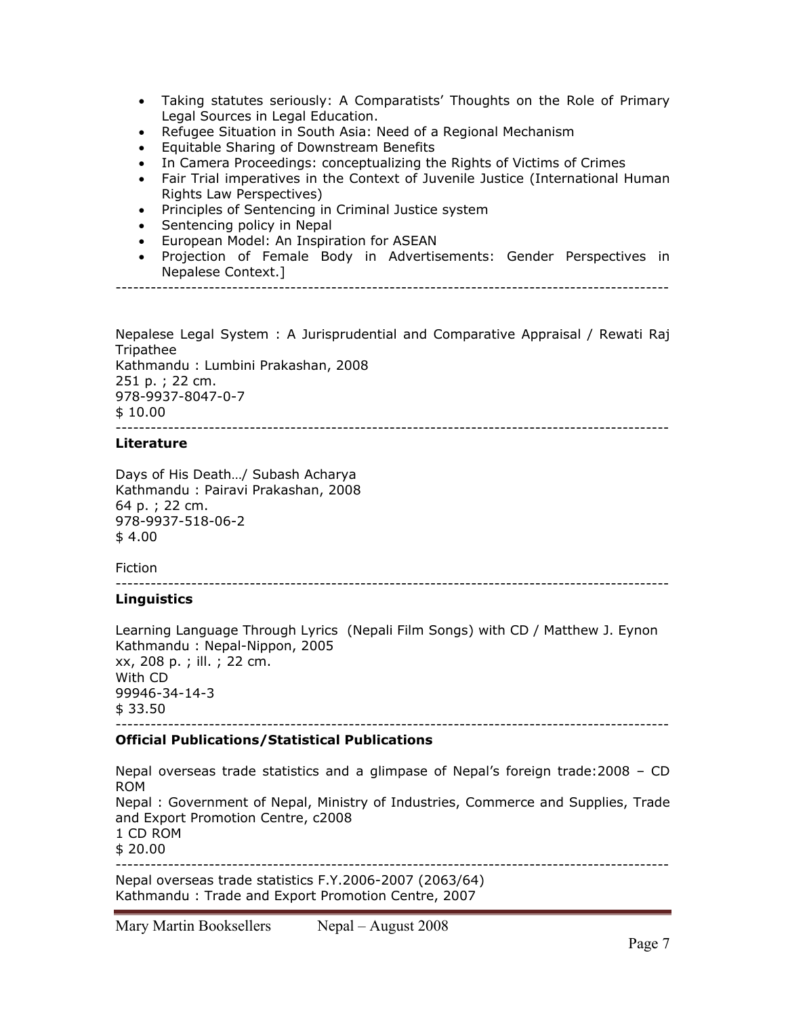- Taking statutes seriously: A Comparatists' Thoughts on the Role of Primary Legal Sources in Legal Education.
- Refugee Situation in South Asia: Need of a Regional Mechanism
- Equitable Sharing of Downstream Benefits
- In Camera Proceedings: conceptualizing the Rights of Victims of Crimes
- Fair Trial imperatives in the Context of Juvenile Justice (International Human Rights Law Perspectives)
- Principles of Sentencing in Criminal Justice system
- Sentencing policy in Nepal
- European Model: An Inspiration for ASEAN
- Projection of Female Body in Advertisements: Gender Perspectives in Nepalese Context.]

-----------------------------------------------------------------------------------------------

Nepalese Legal System : A Jurisprudential and Comparative Appraisal / Rewati Raj Tripathee Kathmandu : Lumbini Prakashan, 2008 251 p. ; 22 cm. 978-9937-8047-0-7 \$ 10.00 -----------------------------------------------------------------------------------------------

## **Literature**

Days of His Death…/ Subash Acharya Kathmandu : Pairavi Prakashan, 2008 64 p. ; 22 cm. 978-9937-518-06-2 \$ 4.00

Fiction

-----------------------------------------------------------------------------------------------

## **Linguistics**

Learning Language Through Lyrics (Nepali Film Songs) with CD / Matthew J. Eynon Kathmandu : Nepal-Nippon, 2005 xx, 208 p. ; ill. ; 22 cm. With CD 99946-34-14-3  $$33.50$ -----------------------------------------------------------------------------------------------

## **Official Publications/Statistical Publications**

Nepal overseas trade statistics and a glimpase of Nepal's foreign trade:2008 – CD ROM Nepal : Government of Nepal, Ministry of Industries, Commerce and Supplies, Trade and Export Promotion Centre, c2008 1 CD ROM \$ 20.00 ----------------------------------------------------------------------------------------------- Nepal overseas trade statistics F.Y.2006-2007 (2063/64)

Kathmandu : Trade and Export Promotion Centre, 2007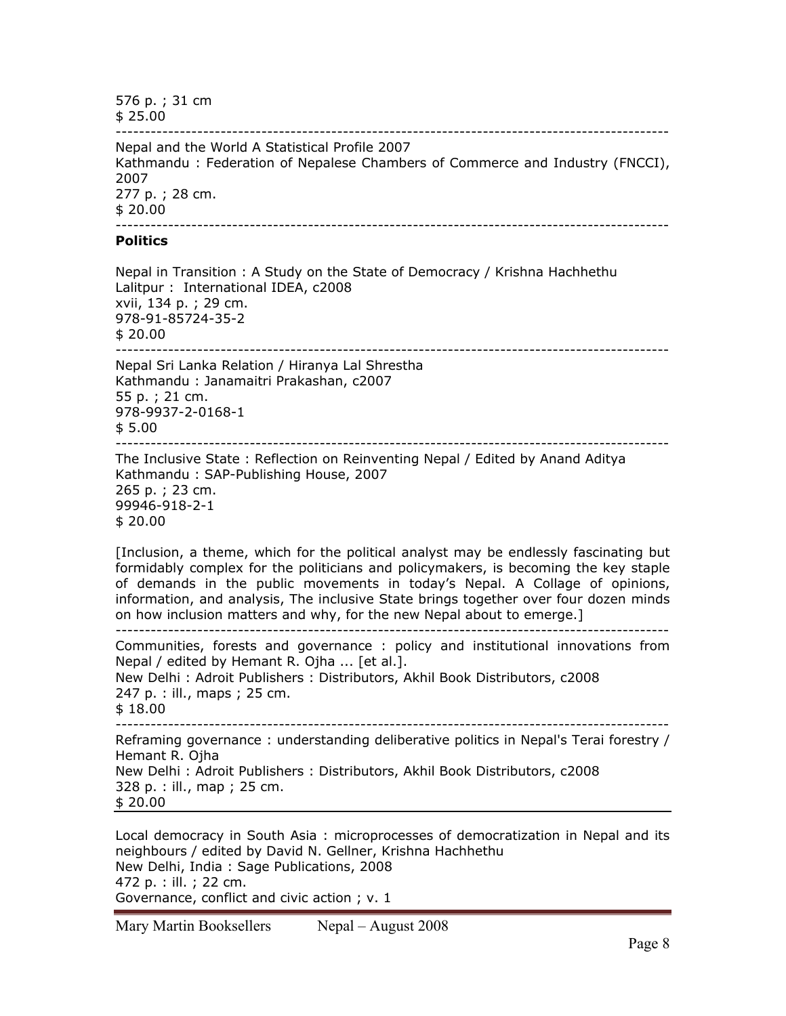576 p. ; 31 cm \$ 25.00 ----------------------------------------------------------------------------------------------- Nepal and the World A Statistical Profile 2007 Kathmandu : Federation of Nepalese Chambers of Commerce and Industry (FNCCI), 2007 277 p. ; 28 cm. \$ 20.00 ----------------------------------------------------------------------------------------------- **Politics**  Nepal in Transition : A Study on the State of Democracy / Krishna Hachhethu Lalitpur : International IDEA, c2008 xvii, 134 p. ; 29 cm. 978-91-85724-35-2 \$ 20.00 ----------------------------------------------------------------------------------------------- Nepal Sri Lanka Relation / Hiranya Lal Shrestha Kathmandu : Janamaitri Prakashan, c2007 55 p. ; 21 cm. 978-9937-2-0168-1 \$ 5.00 ----------------------------------------------------------------------------------------------- The Inclusive State : Reflection on Reinventing Nepal / Edited by Anand Aditya Kathmandu : SAP-Publishing House, 2007 265 p. ; 23 cm. 99946-918-2-1 \$ 20.00 [Inclusion, a theme, which for the political analyst may be endlessly fascinating but formidably complex for the politicians and policymakers, is becoming the key staple of demands in the public movements in today's Nepal. A Collage of opinions, information, and analysis, The inclusive State brings together over four dozen minds on how inclusion matters and why, for the new Nepal about to emerge.] ----------------------------------------------------------------------------------------------- Communities, forests and governance : policy and institutional innovations from Nepal / edited by Hemant R. Ojha ... [et al.]. New Delhi : Adroit Publishers : Distributors, Akhil Book Distributors, c2008 247 p. : ill., maps ; 25 cm.  $$18.00$ 

----------------------------------------------------------------------------------------------- Reframing governance : understanding deliberative politics in Nepal's Terai forestry / Hemant R. Ojha New Delhi : Adroit Publishers : Distributors, Akhil Book Distributors, c2008 328 p. : ill., map ; 25 cm. \$ 20.00

Local democracy in South Asia : microprocesses of democratization in Nepal and its neighbours / edited by David N. Gellner, Krishna Hachhethu New Delhi, India : Sage Publications, 2008 472 p. : ill. ; 22 cm. Governance, conflict and civic action ; v. 1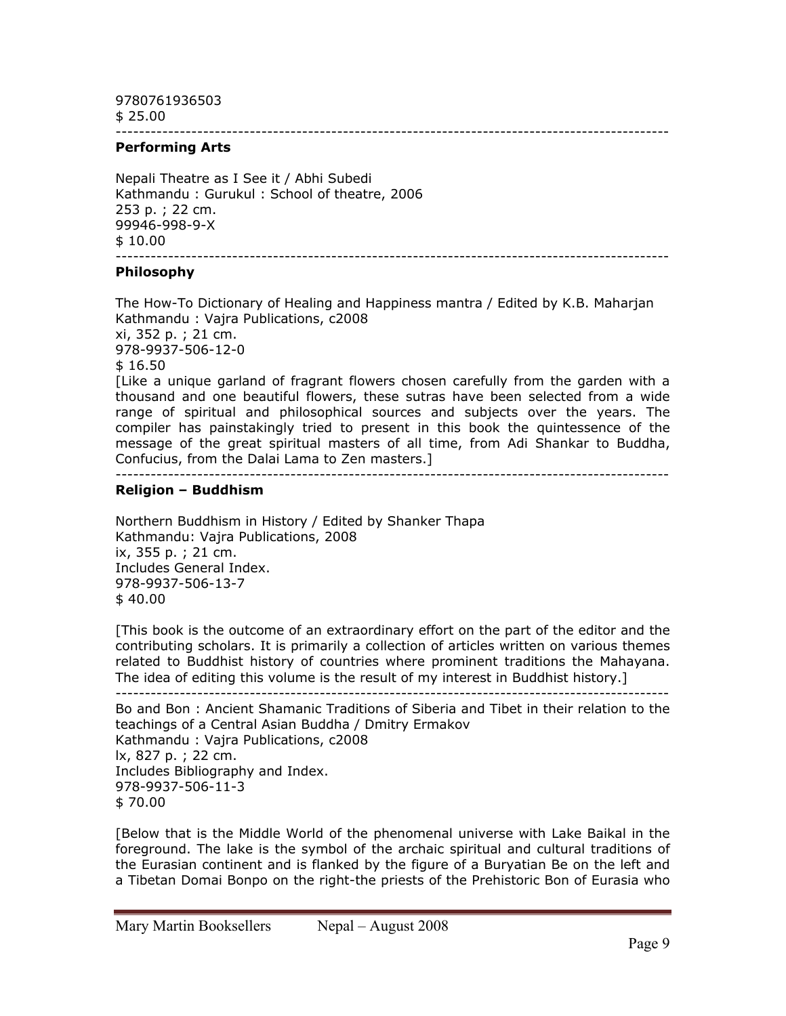9780761936503 \$ 25.00

-----------------------------------------------------------------------------------------------

### **Performing Arts**

Nepali Theatre as I See it / Abhi Subedi Kathmandu : Gurukul : School of theatre, 2006 253 p. ; 22 cm. 99946-998-9-X \$ 10.00 -----------------------------------------------------------------------------------------------

#### **Philosophy**

The How-To Dictionary of Healing and Happiness mantra / Edited by K.B. Maharjan Kathmandu : Vajra Publications, c2008 xi, 352 p. ; 21 cm. 978-9937-506-12-0 \$ 16.50 [Like a unique garland of fragrant flowers chosen carefully from the garden with a thousand and one beautiful flowers, these sutras have been selected from a wide

range of spiritual and philosophical sources and subjects over the years. The compiler has painstakingly tried to present in this book the quintessence of the message of the great spiritual masters of all time, from Adi Shankar to Buddha, Confucius, from the Dalai Lama to Zen masters.]

#### -----------------------------------------------------------------------------------------------

## **Religion – Buddhism**

Northern Buddhism in History / Edited by Shanker Thapa Kathmandu: Vajra Publications, 2008 ix, 355 p. ; 21 cm. Includes General Index. 978-9937-506-13-7 \$ 40.00

[This book is the outcome of an extraordinary effort on the part of the editor and the contributing scholars. It is primarily a collection of articles written on various themes related to Buddhist history of countries where prominent traditions the Mahayana. The idea of editing this volume is the result of my interest in Buddhist history.]

----------------------------------------------------------------------------------------------- Bo and Bon : Ancient Shamanic Traditions of Siberia and Tibet in their relation to the teachings of a Central Asian Buddha / Dmitry Ermakov

Kathmandu : Vajra Publications, c2008 lx, 827 p. ; 22 cm. Includes Bibliography and Index. 978-9937-506-11-3 \$ 70.00

[Below that is the Middle World of the phenomenal universe with Lake Baikal in the foreground. The lake is the symbol of the archaic spiritual and cultural traditions of the Eurasian continent and is flanked by the figure of a Buryatian Be on the left and a Tibetan Domai Bonpo on the right-the priests of the Prehistoric Bon of Eurasia who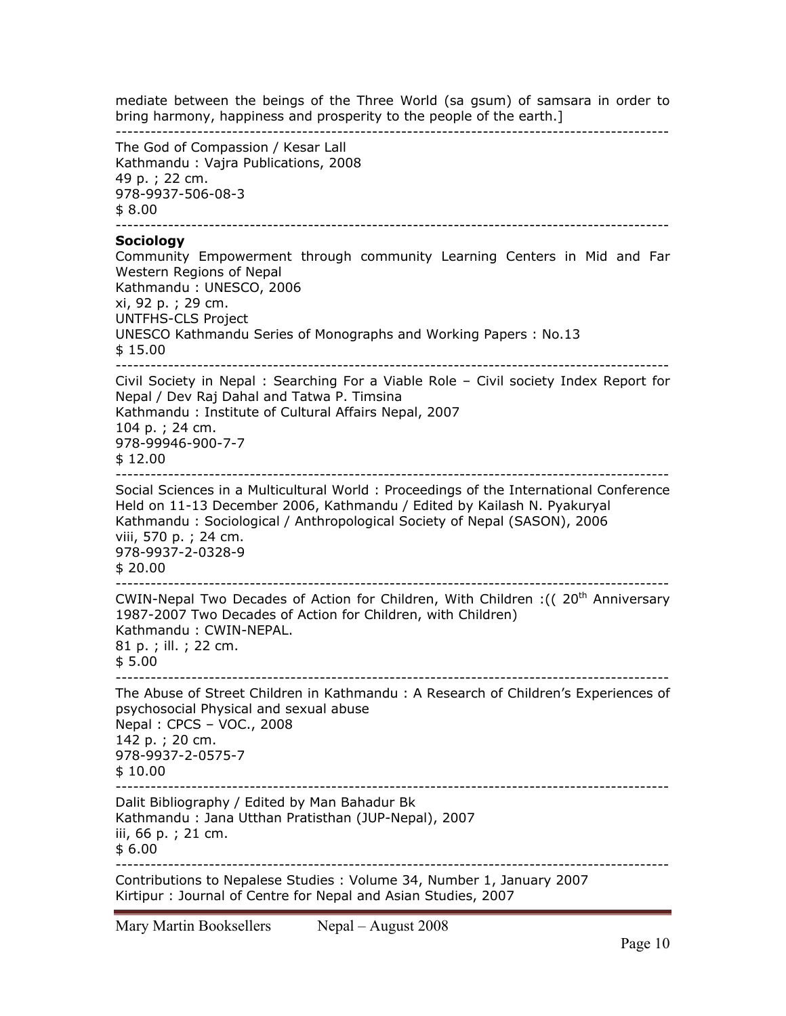mediate between the beings of the Three World (sa gsum) of samsara in order to bring harmony, happiness and prosperity to the people of the earth.] ----------------------------------------------------------------------------------------------- The God of Compassion / Kesar Lall Kathmandu : Vajra Publications, 2008 49 p. ; 22 cm. 978-9937-506-08-3 \$ 8.00 ----------------------------------------------------------------------------------------------- **Sociology**  Community Empowerment through community Learning Centers in Mid and Far Western Regions of Nepal Kathmandu : UNESCO, 2006 xi, 92 p. ; 29 cm. UNTFHS-CLS Project UNESCO Kathmandu Series of Monographs and Working Papers : No.13 \$ 15.00 ----------------------------------------------------------------------------------------------- Civil Society in Nepal : Searching For a Viable Role – Civil society Index Report for Nepal / Dev Raj Dahal and Tatwa P. Timsina Kathmandu : Institute of Cultural Affairs Nepal, 2007 104 p. ; 24 cm. 978-99946-900-7-7 \$ 12.00 ----------------------------------------------------------------------------------------------- Social Sciences in a Multicultural World : Proceedings of the International Conference Held on 11-13 December 2006, Kathmandu / Edited by Kailash N. Pyakuryal Kathmandu : Sociological / Anthropological Society of Nepal (SASON), 2006 viii, 570 p. ; 24 cm. 978-9937-2-0328-9 \$ 20.00 ----------------------------------------------------------------------------------------------- CWIN-Nepal Two Decades of Action for Children, With Children : ((20<sup>th</sup> Anniversary 1987-2007 Two Decades of Action for Children, with Children) Kathmandu : CWIN-NEPAL. 81 p. ; ill. ; 22 cm. \$ 5.00 The Abuse of Street Children in Kathmandu : A Research of Children's Experiences of psychosocial Physical and sexual abuse Nepal : CPCS – VOC., 2008 142 p. ; 20 cm. 978-9937-2-0575-7 \$ 10.00 ----------------------------------------------------------------------------------------------- Dalit Bibliography / Edited by Man Bahadur Bk Kathmandu : Jana Utthan Pratisthan (JUP-Nepal), 2007 iii, 66 p. ; 21 cm. \$ 6.00 ----------------------------------------------------------------------------------------------- Contributions to Nepalese Studies : Volume 34, Number 1, January 2007 Kirtipur : Journal of Centre for Nepal and Asian Studies, 2007